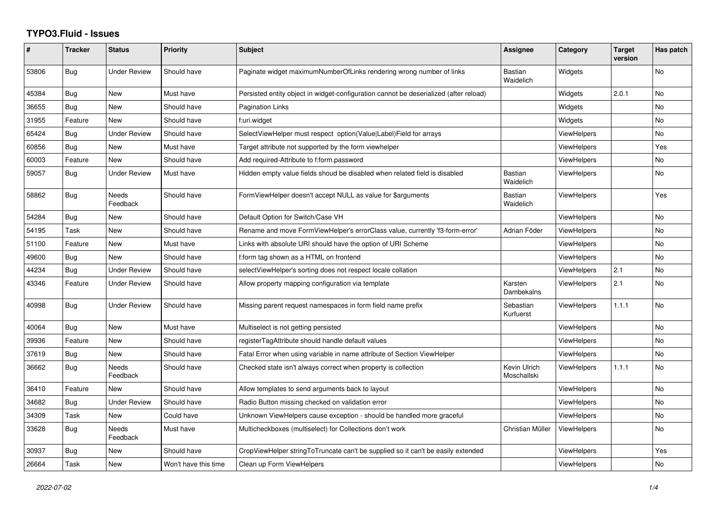## **TYPO3.Fluid - Issues**

| ∦     | <b>Tracker</b> | <b>Status</b>            | Priority             | Subject                                                                               | Assignee                    | Category           | <b>Target</b><br>version | Has patch      |
|-------|----------------|--------------------------|----------------------|---------------------------------------------------------------------------------------|-----------------------------|--------------------|--------------------------|----------------|
| 53806 | Bug            | <b>Under Review</b>      | Should have          | Paginate widget maximumNumberOfLinks rendering wrong number of links                  | <b>Bastian</b><br>Waidelich | Widgets            |                          | No             |
| 45384 | Bug            | New                      | Must have            | Persisted entity object in widget-configuration cannot be deserialized (after reload) |                             | Widgets            | 2.0.1                    | No             |
| 36655 | Bug            | New                      | Should have          | Pagination Links                                                                      |                             | Widgets            |                          | No             |
| 31955 | Feature        | <b>New</b>               | Should have          | f:uri.widget                                                                          |                             | Widgets            |                          | No.            |
| 65424 | Bug            | <b>Under Review</b>      | Should have          | SelectViewHelper must respect option(Value Label)Field for arrays                     |                             | <b>ViewHelpers</b> |                          | No             |
| 60856 | Bug            | New                      | Must have            | Target attribute not supported by the form viewhelper                                 |                             | <b>ViewHelpers</b> |                          | Yes            |
| 60003 | Feature        | <b>New</b>               | Should have          | Add required-Attribute to f:form.password                                             |                             | <b>ViewHelpers</b> |                          | No.            |
| 59057 | Bug            | <b>Under Review</b>      | Must have            | Hidden empty value fields shoud be disabled when related field is disabled            | Bastian<br>Waidelich        | <b>ViewHelpers</b> |                          | No             |
| 58862 | <b>Bug</b>     | Needs<br>Feedback        | Should have          | FormViewHelper doesn't accept NULL as value for \$arguments                           | <b>Bastian</b><br>Waidelich | <b>ViewHelpers</b> |                          | Yes            |
| 54284 | Bug            | <b>New</b>               | Should have          | Default Option for Switch/Case VH                                                     |                             | <b>ViewHelpers</b> |                          | No             |
| 54195 | Task           | New                      | Should have          | Rename and move FormViewHelper's errorClass value, currently 'f3-form-error'          | Adrian Föder                | <b>ViewHelpers</b> |                          | No             |
| 51100 | Feature        | New                      | Must have            | Links with absolute URI should have the option of URI Scheme                          |                             | <b>ViewHelpers</b> |                          | No             |
| 49600 | <b>Bug</b>     | <b>New</b>               | Should have          | f:form tag shown as a HTML on frontend                                                |                             | <b>ViewHelpers</b> |                          | No             |
| 44234 | Bug            | <b>Under Review</b>      | Should have          | selectViewHelper's sorting does not respect locale collation                          |                             | <b>ViewHelpers</b> | 2.1                      | No             |
| 43346 | Feature        | <b>Under Review</b>      | Should have          | Allow property mapping configuration via template                                     | Karsten<br>Dambekalns       | <b>ViewHelpers</b> | 2.1                      | No             |
| 40998 | Bug            | <b>Under Review</b>      | Should have          | Missing parent request namespaces in form field name prefix                           | Sebastian<br>Kurfuerst      | <b>ViewHelpers</b> | 1.1.1                    | No             |
| 40064 | <b>Bug</b>     | <b>New</b>               | Must have            | Multiselect is not getting persisted                                                  |                             | <b>ViewHelpers</b> |                          | N <sub>o</sub> |
| 39936 | Feature        | New                      | Should have          | registerTagAttribute should handle default values                                     |                             | <b>ViewHelpers</b> |                          | No             |
| 37619 | Bug            | New                      | Should have          | Fatal Error when using variable in name attribute of Section ViewHelper               |                             | ViewHelpers        |                          | No             |
| 36662 | Bug            | <b>Needs</b><br>Feedback | Should have          | Checked state isn't always correct when property is collection                        | Kevin Ulrich<br>Moschallski | ViewHelpers        | 1.1.1                    | No.            |
| 36410 | Feature        | New                      | Should have          | Allow templates to send arguments back to layout                                      |                             | <b>ViewHelpers</b> |                          | No             |
| 34682 | Bug            | <b>Under Review</b>      | Should have          | Radio Button missing checked on validation error                                      |                             | <b>ViewHelpers</b> |                          | <b>No</b>      |
| 34309 | Task           | New                      | Could have           | Unknown ViewHelpers cause exception - should be handled more graceful                 |                             | <b>ViewHelpers</b> |                          | No             |
| 33628 | Bug            | Needs<br>Feedback        | Must have            | Multicheckboxes (multiselect) for Collections don't work                              | Christian Müller            | <b>ViewHelpers</b> |                          | No             |
| 30937 | Bug            | New                      | Should have          | CropViewHelper stringToTruncate can't be supplied so it can't be easily extended      |                             | <b>ViewHelpers</b> |                          | Yes            |
| 26664 | Task           | New                      | Won't have this time | Clean up Form ViewHelpers                                                             |                             | <b>ViewHelpers</b> |                          | No             |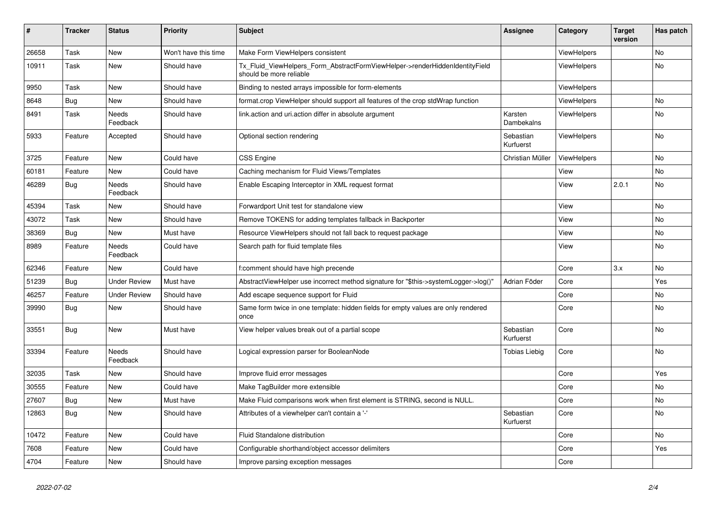| $\vert$ # | <b>Tracker</b> | <b>Status</b>       | <b>Priority</b>      | <b>Subject</b>                                                                                         | <b>Assignee</b>        | Category           | <b>Target</b><br>version | Has patch |
|-----------|----------------|---------------------|----------------------|--------------------------------------------------------------------------------------------------------|------------------------|--------------------|--------------------------|-----------|
| 26658     | Task           | <b>New</b>          | Won't have this time | Make Form ViewHelpers consistent                                                                       |                        | <b>ViewHelpers</b> |                          | <b>No</b> |
| 10911     | Task           | New                 | Should have          | Tx_Fluid_ViewHelpers_Form_AbstractFormViewHelper->renderHiddenIdentityField<br>should be more reliable |                        | ViewHelpers        |                          | <b>No</b> |
| 9950      | Task           | New                 | Should have          | Binding to nested arrays impossible for form-elements                                                  |                        | ViewHelpers        |                          |           |
| 8648      | Bug            | New                 | Should have          | format.crop ViewHelper should support all features of the crop stdWrap function                        |                        | ViewHelpers        |                          | No        |
| 8491      | Task           | Needs<br>Feedback   | Should have          | link.action and uri.action differ in absolute argument                                                 | Karsten<br>Dambekalns  | <b>ViewHelpers</b> |                          | No        |
| 5933      | Feature        | Accepted            | Should have          | Optional section rendering                                                                             | Sebastian<br>Kurfuerst | <b>ViewHelpers</b> |                          | No        |
| 3725      | Feature        | <b>New</b>          | Could have           | <b>CSS Engine</b>                                                                                      | Christian Müller       | <b>ViewHelpers</b> |                          | No        |
| 60181     | Feature        | <b>New</b>          | Could have           | Caching mechanism for Fluid Views/Templates                                                            |                        | View               |                          | <b>No</b> |
| 46289     | Bug            | Needs<br>Feedback   | Should have          | Enable Escaping Interceptor in XML request format                                                      |                        | View               | 2.0.1                    | <b>No</b> |
| 45394     | Task           | New                 | Should have          | Forwardport Unit test for standalone view                                                              |                        | View               |                          | No        |
| 43072     | Task           | New                 | Should have          | Remove TOKENS for adding templates fallback in Backporter                                              |                        | View               |                          | No        |
| 38369     | Bug            | New                 | Must have            | Resource ViewHelpers should not fall back to request package                                           |                        | View               |                          | No        |
| 8989      | Feature        | Needs<br>Feedback   | Could have           | Search path for fluid template files                                                                   |                        | View               |                          | No        |
| 62346     | Feature        | New                 | Could have           | f:comment should have high precende                                                                    |                        | Core               | 3.x                      | <b>No</b> |
| 51239     | Bug            | <b>Under Review</b> | Must have            | AbstractViewHelper use incorrect method signature for "\$this->systemLogger->log()"                    | Adrian Föder           | Core               |                          | Yes       |
| 46257     | Feature        | <b>Under Review</b> | Should have          | Add escape sequence support for Fluid                                                                  |                        | Core               |                          | No        |
| 39990     | Bug            | New                 | Should have          | Same form twice in one template: hidden fields for empty values are only rendered<br>once              |                        | Core               |                          | No        |
| 33551     | Bug            | New                 | Must have            | View helper values break out of a partial scope                                                        | Sebastian<br>Kurfuerst | Core               |                          | No        |
| 33394     | Feature        | Needs<br>Feedback   | Should have          | Logical expression parser for BooleanNode                                                              | Tobias Liebig          | Core               |                          | <b>No</b> |
| 32035     | Task           | <b>New</b>          | Should have          | Improve fluid error messages                                                                           |                        | Core               |                          | Yes       |
| 30555     | Feature        | New                 | Could have           | Make TagBuilder more extensible                                                                        |                        | Core               |                          | <b>No</b> |
| 27607     | Bug            | New                 | Must have            | Make Fluid comparisons work when first element is STRING, second is NULL.                              |                        | Core               |                          | No        |
| 12863     | Bug            | New                 | Should have          | Attributes of a viewhelper can't contain a '-'                                                         | Sebastian<br>Kurfuerst | Core               |                          | No        |
| 10472     | Feature        | New                 | Could have           | Fluid Standalone distribution                                                                          |                        | Core               |                          | No        |
| 7608      | Feature        | New                 | Could have           | Configurable shorthand/object accessor delimiters                                                      |                        | Core               |                          | Yes       |
| 4704      | Feature        | New                 | Should have          | Improve parsing exception messages                                                                     |                        | Core               |                          |           |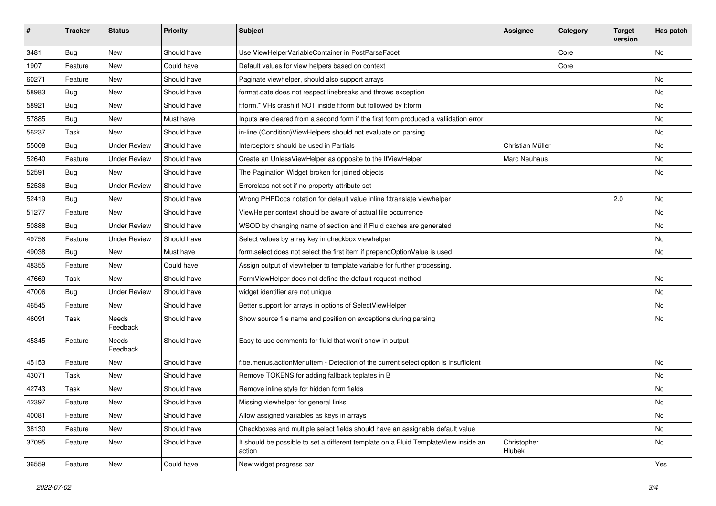| #     | <b>Tracker</b> | <b>Status</b>       | Priority    | Subject                                                                                       | <b>Assignee</b>       | Category | <b>Target</b><br>version | Has patch |
|-------|----------------|---------------------|-------------|-----------------------------------------------------------------------------------------------|-----------------------|----------|--------------------------|-----------|
| 3481  | Bug            | New                 | Should have | Use ViewHelperVariableContainer in PostParseFacet                                             |                       | Core     |                          | <b>No</b> |
| 1907  | Feature        | New                 | Could have  | Default values for view helpers based on context                                              |                       | Core     |                          |           |
| 60271 | Feature        | New                 | Should have | Paginate viewhelper, should also support arrays                                               |                       |          |                          | No        |
| 58983 | Bug            | New                 | Should have | format.date does not respect linebreaks and throws exception                                  |                       |          |                          | No        |
| 58921 | Bug            | New                 | Should have | f:form.* VHs crash if NOT inside f:form but followed by f:form                                |                       |          |                          | No        |
| 57885 | Bug            | New                 | Must have   | Inputs are cleared from a second form if the first form produced a vallidation error          |                       |          |                          | No        |
| 56237 | Task           | New                 | Should have | in-line (Condition) View Helpers should not evaluate on parsing                               |                       |          |                          | No        |
| 55008 | Bug            | <b>Under Review</b> | Should have | Interceptors should be used in Partials                                                       | Christian Müller      |          |                          | No        |
| 52640 | Feature        | <b>Under Review</b> | Should have | Create an UnlessViewHelper as opposite to the IfViewHelper                                    | Marc Neuhaus          |          |                          | No        |
| 52591 | Bug            | New                 | Should have | The Pagination Widget broken for joined objects                                               |                       |          |                          | No        |
| 52536 | Bug            | <b>Under Review</b> | Should have | Errorclass not set if no property-attribute set                                               |                       |          |                          |           |
| 52419 | Bug            | New                 | Should have | Wrong PHPDocs notation for default value inline f:translate viewhelper                        |                       |          | 2.0                      | No        |
| 51277 | Feature        | New                 | Should have | ViewHelper context should be aware of actual file occurrence                                  |                       |          |                          | No        |
| 50888 | Bug            | <b>Under Review</b> | Should have | WSOD by changing name of section and if Fluid caches are generated                            |                       |          |                          | No        |
| 49756 | Feature        | <b>Under Review</b> | Should have | Select values by array key in checkbox viewhelper                                             |                       |          |                          | No        |
| 49038 | Bug            | <b>New</b>          | Must have   | form.select does not select the first item if prependOptionValue is used                      |                       |          |                          | No        |
| 48355 | Feature        | New                 | Could have  | Assign output of viewhelper to template variable for further processing.                      |                       |          |                          |           |
| 47669 | Task           | New                 | Should have | FormViewHelper does not define the default request method                                     |                       |          |                          | No        |
| 47006 | Bug            | <b>Under Review</b> | Should have | widget identifier are not unique                                                              |                       |          |                          | No        |
| 46545 | Feature        | New                 | Should have | Better support for arrays in options of SelectViewHelper                                      |                       |          |                          | No        |
| 46091 | Task           | Needs<br>Feedback   | Should have | Show source file name and position on exceptions during parsing                               |                       |          |                          | No        |
| 45345 | Feature        | Needs<br>Feedback   | Should have | Easy to use comments for fluid that won't show in output                                      |                       |          |                          |           |
| 45153 | Feature        | New                 | Should have | f:be.menus.actionMenuItem - Detection of the current select option is insufficient            |                       |          |                          | No        |
| 43071 | Task           | New                 | Should have | Remove TOKENS for adding fallback teplates in B                                               |                       |          |                          | <b>No</b> |
| 42743 | Task           | New                 | Should have | Remove inline style for hidden form fields                                                    |                       |          |                          | No        |
| 42397 | Feature        | New                 | Should have | Missing viewhelper for general links                                                          |                       |          |                          | No        |
| 40081 | Feature        | New                 | Should have | Allow assigned variables as keys in arrays                                                    |                       |          |                          | No        |
| 38130 | Feature        | New                 | Should have | Checkboxes and multiple select fields should have an assignable default value                 |                       |          |                          | No        |
| 37095 | Feature        | New                 | Should have | It should be possible to set a different template on a Fluid TemplateView inside an<br>action | Christopher<br>Hlubek |          |                          | No        |
| 36559 | Feature        | New                 | Could have  | New widget progress bar                                                                       |                       |          |                          | Yes       |